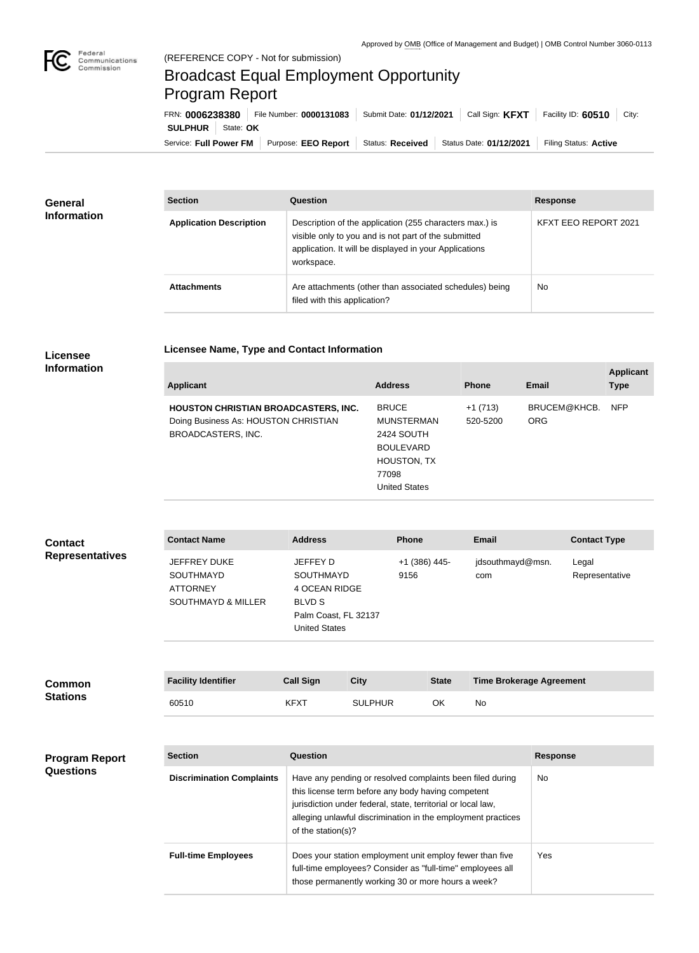

## Broadcast Equal Employment Opportunity Program Report

| FRN: 0006238380                    | File Number: 0000131083 | Submit Date: 01/12/2021 | Call Sign: <b>KFXT</b>  | Facility ID: 60510<br>City: |
|------------------------------------|-------------------------|-------------------------|-------------------------|-----------------------------|
| <b>SULPHUR</b><br>State: <b>OK</b> |                         |                         |                         |                             |
| Service: Full Power FM             | Purpose: EEO Report     | <b>Status: Received</b> | Status Date: 01/12/2021 | Filing Status: Active       |

| <b>General</b><br><b>Information</b> | <b>Section</b>                 | Question                                                                                                                                                                                | <b>Response</b>      |
|--------------------------------------|--------------------------------|-----------------------------------------------------------------------------------------------------------------------------------------------------------------------------------------|----------------------|
|                                      | <b>Application Description</b> | Description of the application (255 characters max.) is<br>visible only to you and is not part of the submitted<br>application. It will be displayed in your Applications<br>workspace. | KFXT EEO REPORT 2021 |
|                                      | <b>Attachments</b>             | Are attachments (other than associated schedules) being<br>filed with this application?                                                                                                 | <b>No</b>            |

## **Licensee Name, Type and Contact Information**

## **Licensee Information**

| <b>Applicant</b>                            | <b>Address</b>       | <b>Phone</b> | Email        | <b>Applicant</b><br><b>Type</b> |
|---------------------------------------------|----------------------|--------------|--------------|---------------------------------|
| <b>HOUSTON CHRISTIAN BROADCASTERS, INC.</b> | <b>BRUCE</b>         | $+1(713)$    | BRUCEM@KHCB. | <b>NFP</b>                      |
| Doing Business As: HOUSTON CHRISTIAN        | <b>MUNSTERMAN</b>    | 520-5200     | <b>ORG</b>   |                                 |
| BROADCASTERS, INC.                          | 2424 SOUTH           |              |              |                                 |
|                                             | <b>BOULEVARD</b>     |              |              |                                 |
|                                             | <b>HOUSTON, TX</b>   |              |              |                                 |
|                                             | 77098                |              |              |                                 |
|                                             | <b>United States</b> |              |              |                                 |

| <b>Contact</b>         | <b>Contact Name</b>                                                                  | <b>Address</b>                                                                                                 | <b>Phone</b>          | <b>Email</b>            | <b>Contact Type</b>     |
|------------------------|--------------------------------------------------------------------------------------|----------------------------------------------------------------------------------------------------------------|-----------------------|-------------------------|-------------------------|
| <b>Representatives</b> | JEFFREY DUKE<br><b>SOUTHMAYD</b><br><b>ATTORNEY</b><br><b>SOUTHMAYD &amp; MILLER</b> | JEFFEY D<br><b>SOUTHMAYD</b><br>4 OCEAN RIDGE<br><b>BLVD S</b><br>Palm Coast, FL 32137<br><b>United States</b> | +1 (386) 445-<br>9156 | jdsouthmayd@msn.<br>com | Legal<br>Representative |

| <b>Common</b>   | <b>Facility Identifier</b> | <b>Call Sign</b> | City           | <b>State</b> | <b>Time Brokerage Agreement</b> |
|-----------------|----------------------------|------------------|----------------|--------------|---------------------------------|
| <b>Stations</b> | 60510                      | <b>KFXT</b>      | <b>SULPHUR</b> | ΟK           | No                              |

| <b>Program Report</b><br><b>Questions</b> | <b>Section</b>                   | Question                                                                                                                                                                                                                                                              | <b>Response</b> |
|-------------------------------------------|----------------------------------|-----------------------------------------------------------------------------------------------------------------------------------------------------------------------------------------------------------------------------------------------------------------------|-----------------|
|                                           | <b>Discrimination Complaints</b> | Have any pending or resolved complaints been filed during<br>this license term before any body having competent<br>jurisdiction under federal, state, territorial or local law,<br>alleging unlawful discrimination in the employment practices<br>of the station(s)? | <b>No</b>       |
|                                           | <b>Full-time Employees</b>       | Does your station employment unit employ fewer than five<br>full-time employees? Consider as "full-time" employees all<br>those permanently working 30 or more hours a week?                                                                                          | Yes.            |